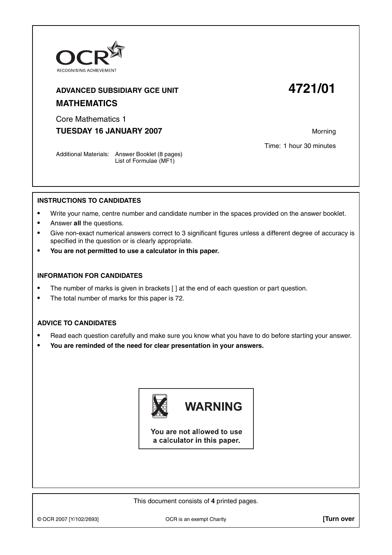

## **ADVANCED SUBSIDIARY GCE UNIT 4721/01 MATHEMATICS**

Core Mathematics 1 **TUESDAY 16 JANUARY 2007** Morning

Time: 1 hour 30 minutes

Additional Materials: Answer Booklet (8 pages) List of Formulae (MF1)

## **INSTRUCTIONS TO CANDIDATES**

- **•** Write your name, centre number and candidate number in the spaces provided on the answer booklet.
- **•** Answer **all** the questions.
- **•** Give non-exact numerical answers correct to 3 significant figures unless a different degree of accuracy is specified in the question or is clearly appropriate.
- **• You are not permitted to use a calculator in this paper.**

## **INFORMATION FOR CANDIDATES**

- The number of marks is given in brackets [ ] at the end of each question or part question.
- **•** The total number of marks for this paper is 72.

## **ADVICE TO CANDIDATES**

- **•** Read each question carefully and make sure you know what you have to do before starting your answer.
- **• You are reminded of the need for clear presentation in your answers.**



You are not allowed to use a calculator in this paper.

This document consists of **4** printed pages.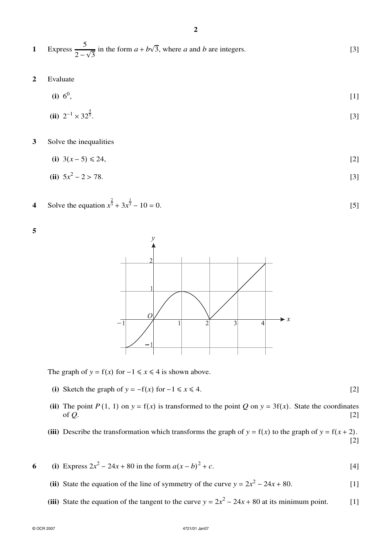- 1 Express  $\frac{5}{2}$  $\frac{5}{2 - \sqrt{3}}$  in the form  $a + b\sqrt{3}$ , where *a* and *b* are integers. [3]
- **2** Evaluate

 $\mathbf{a}$   $\mathbf{b}$ 

(i) 
$$
6^0
$$
, [1]

(ii) 
$$
2^{-1} \times 32^{\frac{4}{5}}
$$
.

**3** Solve the inequalities

(i) 
$$
3(x-5) \le 24
$$
, [2]

(ii) 
$$
5x^2 - 2 > 78
$$
. [3]

**4** Solve the equation  $x^{\frac{2}{3}} + 3x^{\frac{1}{3}} - 10 = 0$ . [5]





The graph of  $y = f(x)$  for  $-1 \le x \le 4$  is shown above.

- (i) Sketch the graph of  $y = -f(x)$  for  $-1 \le x \le 4$ . [2]
- (ii) The point *P*(1, 1) on  $y = f(x)$  is transformed to the point *Q* on  $y = 3f(x)$ . State the coordinates of *Q*. of  $Q$ . [2]
- (iii) Describe the transformation which transforms the graph of  $y = f(x)$  to the graph of  $y = f(x + 2)$ . [2]
- **6** (i) Express  $2x^2 24x + 80$  in the form  $a(x b)^2 + c$ .  $2 + c$ . [4]
	- (ii) State the equation of the line of symmetry of the curve  $y = 2x^2 24x + 80$ . [1]
	- (iii) State the equation of the tangent to the curve  $y = 2x^2 24x + 80$  at its minimum point. [1]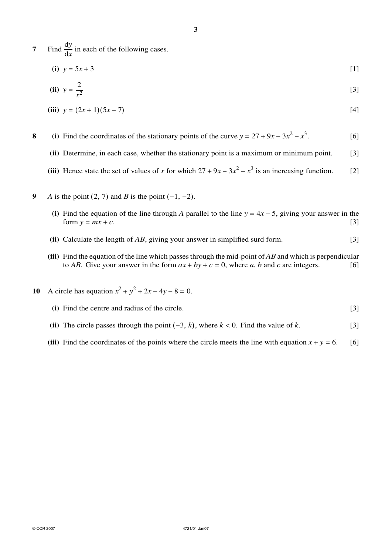**7** Find  $\frac{dy}{dx}$  in each of the following cases.

(i) 
$$
y = 5x + 3
$$
 [1]

(ii) 
$$
y = \frac{2}{x^2}
$$
 [3]

(iii) 
$$
y = (2x+1)(5x-7)
$$
 [4]

**8** (i) Find the coordinates of the stationary points of the curve  $y = 27 + 9x - 3x^2 - x^3$ . . [6]

- **(ii)** Determine, in each case, whether the stationary point is a maximum or minimum point. [3]
- (iii) Hence state the set of values of *x* for which  $27 + 9x 3x^2 x^3$  is an increasing function. [2]
- **9** *A* is the point (2, 7) and *B* is the point (−1, −2).
	- (i) Find the equation of the line through *A* parallel to the line  $y = 4x 5$ , giving your answer in the form  $y = mx + c$ . [3] form  $y = mx + c$ .
	- **(ii)** Calculate the length of *AB*, giving your answer in simplified surd form. [3]
	- **(iii)** Find the equation of the line which passes through the mid-point of *AB* and which is perpendicular to *AB*. Give your answer in the form  $ax + by + c = 0$ , where *a*, *b* and *c* are integers. [6]
- **10** A circle has equation  $x^2 + y^2 + 2x 4y 8 = 0$ .
	- **(i)** Find the centre and radius of the circle. [3]
	- (ii) The circle passes through the point  $(-3, k)$ , where  $k < 0$ . Find the value of *k*. [3]
	- (iii) Find the coordinates of the points where the circle meets the line with equation  $x + y = 6$ . [6]